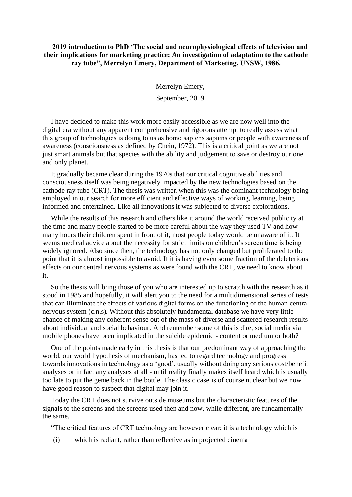## **2019 introduction to PhD 'The social and neurophysiological effects of television and their implications for marketing practice: An investigation of adaptation to the cathode ray tube", Merrelyn Emery, Department of Marketing, UNSW, 1986.**

Merrelyn Emery, September, 2019

I have decided to make this work more easily accessible as we are now well into the digital era without any apparent comprehensive and rigorous attempt to really assess what this group of technologies is doing to us as homo sapiens sapiens or people with awareness of awareness (consciousness as defined by Chein, 1972). This is a critical point as we are not just smart animals but that species with the ability and judgement to save or destroy our one and only planet.

It gradually became clear during the 1970s that our critical cognitive abilities and consciousness itself was being negatively impacted by the new technologies based on the cathode ray tube (CRT). The thesis was written when this was the dominant technology being employed in our search for more efficient and effective ways of working, learning, being informed and entertained. Like all innovations it was subjected to diverse explorations.

While the results of this research and others like it around the world received publicity at the time and many people started to be more careful about the way they used TV and how many hours their children spent in front of it, most people today would be unaware of it. It seems medical advice about the necessity for strict limits on children's screen time is being widely ignored. Also since then, the technology has not only changed but proliferated to the point that it is almost impossible to avoid. If it is having even some fraction of the deleterious effects on our central nervous systems as were found with the CRT, we need to know about it.

So the thesis will bring those of you who are interested up to scratch with the research as it stood in 1985 and hopefully, it will alert you to the need for a multidimensional series of tests that can illuminate the effects of various digital forms on the functioning of the human central nervous system (c.n.s). Without this absolutely fundamental database we have very little chance of making any coherent sense out of the mass of diverse and scattered research results about individual and social behaviour. And remember some of this is dire, social media via mobile phones have been implicated in the suicide epidemic - content or medium or both?

One of the points made early in this thesis is that our predominant way of approaching the world, our world hypothesis of mechanism, has led to regard technology and progress towards innovations in technology as a 'good', usually without doing any serious cost/benefit analyses or in fact any analyses at all - until reality finally makes itself heard which is usually too late to put the genie back in the bottle. The classic case is of course nuclear but we now have good reason to suspect that digital may join it.

Today the CRT does not survive outside museums but the characteristic features of the signals to the screens and the screens used then and now, while different, are fundamentally the same.

"The critical features of CRT technology are however clear: it is a technology which is

(i) which is radiant, rather than reflective as in projected cinema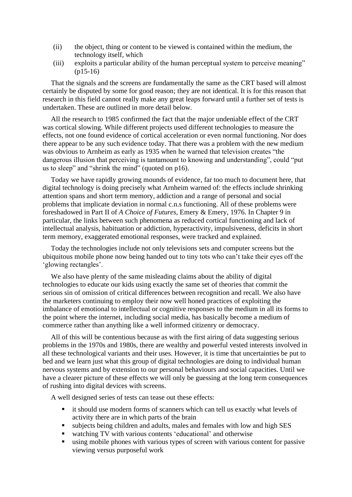- (ii) the object, thing or content to be viewed is contained within the medium, the technology itself, which
- (iii) exploits a particular ability of the human perceptual system to perceive meaning" (p15-16)

That the signals and the screens are fundamentally the same as the CRT based will almost certainly be disputed by some for good reason; they are not identical. It is for this reason that research in this field cannot really make any great leaps forward until a further set of tests is undertaken. These are outlined in more detail below.

All the research to 1985 confirmed the fact that the major undeniable effect of the CRT was cortical slowing. While different projects used different technologies to measure the effects, not one found evidence of cortical acceleration or even normal functioning. Nor does there appear to be any such evidence today. That there was a problem with the new medium was obvious to Arnheim as early as 1935 when he warned that television creates "the dangerous illusion that perceiving is tantamount to knowing and understanding", could "put us to sleep" and "shrink the mind" (quoted on p16).

Today we have rapidly growing mounds of evidence, far too much to document here, that digital technology is doing precisely what Arnheim warned of: the effects include shrinking attention spans and short term memory, addiction and a range of personal and social problems that implicate deviation in normal c.n.s functioning. All of these problems were foreshadowed in Part II of *A Choice of Futures*, Emery & Emery, 1976. In Chapter 9 in particular, the links between such phenomena as reduced cortical functioning and lack of intellectual analysis, habituation or addiction, hyperactivity, impulsiveness, deficits in short term memory, exaggerated emotional responses, were tracked and explained.

Today the technologies include not only televisions sets and computer screens but the ubiquitous mobile phone now being handed out to tiny tots who can't take their eyes off the 'glowing rectangles'.

We also have plenty of the same misleading claims about the ability of digital technologies to educate our kids using exactly the same set of theories that commit the serious sin of omission of critical differences between recognition and recall. We also have the marketers continuing to employ their now well honed practices of exploiting the imbalance of emotional to intellectual or cognitive responses to the medium in all its forms to the point where the internet, including social media, has basically become a medium of commerce rather than anything like a well informed citizenry or democracy.

All of this will be contentious because as with the first airing of data suggesting serious problems in the 1970s and 1980s, there are wealthy and powerful vested interests involved in all these technological variants and their uses. However, it is time that uncertainties be put to bed and we learn just what this group of digital technologies are doing to individual human nervous systems and by extension to our personal behaviours and social capacities. Until we have a clearer picture of these effects we will only be guessing at the long term consequences of rushing into digital devices with screens.

A well designed series of tests can tease out these effects:

- it should use modern forms of scanners which can tell us exactly what levels of activity there are in which parts of the brain
- subjects being children and adults, males and females with low and high SES
- watching TV with various contents 'educational' and otherwise
- using mobile phones with various types of screen with various content for passive viewing versus purposeful work